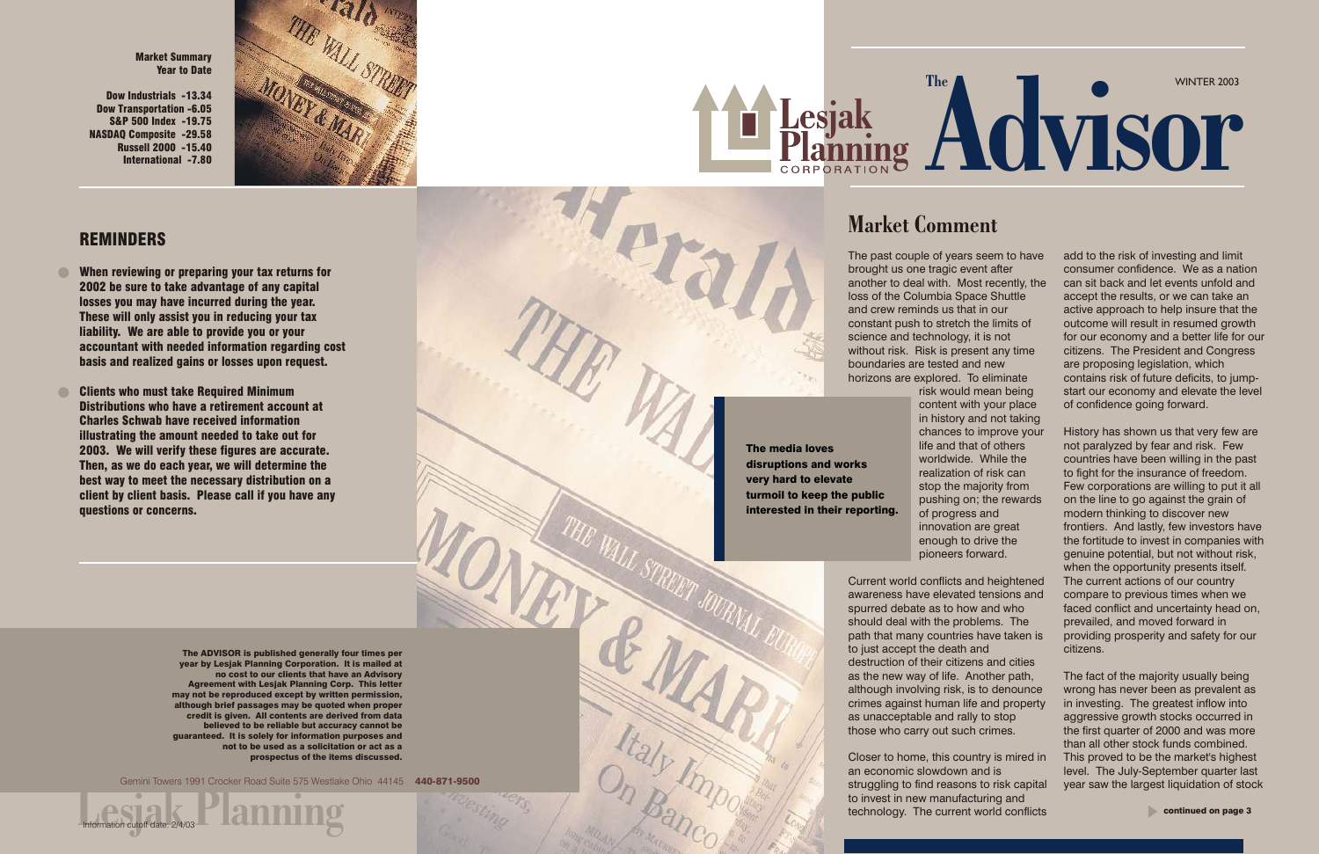The past couple of years seem to have brought us one tragic event after another to deal with. Most recently, the loss of the Columbia Space Shuttle and crew reminds us that in our constant push to stretch the limits of science and technology, it is not without risk. Risk is present any time boundaries are tested and new horizons are explored. To eliminate

risk would mean being content with your place in history and not taking chances to improve your life and that of others worldwide. While the realization of risk can stop the majority from pushing on; the rewards innovation are great enough to drive the

of progress and pioneers forward.

Current world conflicts and heightened awareness have elevated tensions and spurred debate as to how and who should deal with the problems. The path that many countries have taken is to just accept the death and destruction of their citizens and cities as the new way of life. Another path, although involving risk, is to denounce crimes against human life and property as unacceptable and rally to stop those who carry out such crimes.

Closer to home, this country is mired in an economic slowdown and is struggling to find reasons to risk capital to invest in new manufacturing and technology. The current world conflicts

# WINTER 2003 Ranning Advisor

# Market Comment

## REMINDERS

Linformation cutoff date: 2/4/03<br>
Lamming Gemini Towers 1991 Crocker Road Suite 575 Westlake Ohio 44145 440-871-9500



- When reviewing or preparing your tax returns for  $\bullet$ 2002 be sure to take advantage of any capital losses you may have incurred during the year. These will only assist you in reducing your tax liability. We are able to provide you or your accountant with needed information regarding cost basis and realized gains or losses upon request.
- Clients who must take Required Minimum Distributions who have a retirement account at Charles Schwab have received information illustrating the amount needed to take out for 2003. We will verify these figures are accurate. Then, as we do each year, we will determine the best way to meet the necessary distribution on a client by client basis. Please call if you have any questions or concerns.

The ADVISOR is published generally four times per year by Lesjak Planning Corporation. It is mailed at no cost to our clients that have an Advisory Agreement with Lesjak Planning Corp. This letter may not be reproduced except by written permission, although brief passages may be quoted when proper credit is given. All contents are derived from data believed to be reliable but accuracy cannot be guaranteed. It is solely for information purposes and not to be used as a solicitation or act as a prospectus of the items discussed.

Information cutoff date: 2/4/03

add to the risk of investing and limit consumer confidence. We as a nation can sit back and let events unfold and accept the results, or we can take an active approach to help insure that the outcome will result in resumed growth for our economy and a better life for our citizens. The President and Congress are proposing legislation, which contains risk of future deficits, to jumpstart our economy and elevate the level of confidence going forward.

History has shown us that very few are not paralyzed by fear and risk. Few countries have been willing in the past to fight for the insurance of freedom. Few corporations are willing to put it all on the line to go against the grain of modern thinking to discover new frontiers. And lastly, few investors have the fortitude to invest in companies with genuine potential, but not without risk, when the opportunity presents itself. The current actions of our country compare to previous times when we faced conflict and uncertainty head on, prevailed, and moved forward in providing prosperity and safety for our citizens.

The fact of the majority usually being wrong has never been as prevalent as in investing. The greatest inflow into aggressive growth stocks occurred in the first quarter of 2000 and was more than all other stock funds combined. This proved to be the market's highest level. The July-September quarter last year saw the largest liquidation of stock

Market Summary Year to Date

Dow Industrials -13.34 Dow Transportation -6.05 S&P 500 Index -19.75 NASDAQ Composite -29.58 Russell 2000 -15.40 International -7.80



The media loves disruptions and works very hard to elevate turmoil to keep the public interested in their reporting.

Traly Import